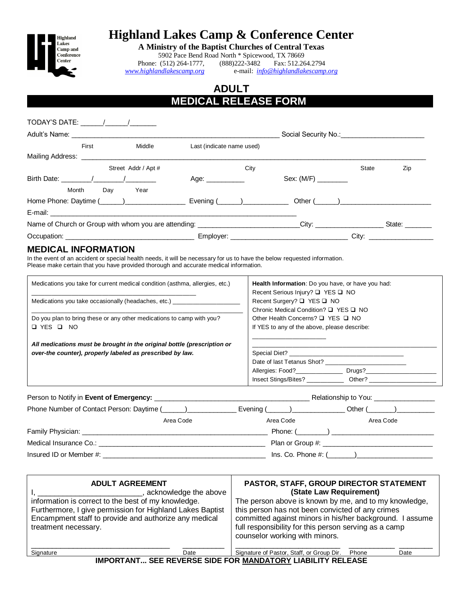

# **Highland Lakes Camp & Conference Center**

**A Ministry of the Baptist Churches of Central Texas**

5902 Pace Bend Road North \* Spicewood, TX 78669 Phone: (512) 264-1777, (888) 222-3482 Fax: 512.264.2794<br>www.highlandlakescamp.org e-mail:  $\frac{info@highlandlakescamp}{info@highlandlakescamp}$ *[www.highlandlakescamp.org](http://www.highlandlakescamp.org/)* e-mail: *[info@highlandlakescamp.org](mailto:info@highlandlakescamp.org)*

## **ADULT MEDICAL RELEASE FORM .**

| Adult's Name: ________________________________                                   |                           |                        |                                                                                                                                                                                                                                |                |
|----------------------------------------------------------------------------------|---------------------------|------------------------|--------------------------------------------------------------------------------------------------------------------------------------------------------------------------------------------------------------------------------|----------------|
| First<br>Middle                                                                  | Last (indicate name used) |                        |                                                                                                                                                                                                                                |                |
| Mailing Address: ____________________________                                    |                           |                        |                                                                                                                                                                                                                                |                |
| Street Addr / Apt #                                                              | City                      |                        | State                                                                                                                                                                                                                          | Zip            |
|                                                                                  | Age: ___________          |                        |                                                                                                                                                                                                                                |                |
| Month<br>Day<br>Year                                                             |                           |                        |                                                                                                                                                                                                                                |                |
| Home Phone: Daytime (\integration) \[\]                                          | Evening $(\_\_)$          |                        |                                                                                                                                                                                                                                |                |
|                                                                                  |                           |                        |                                                                                                                                                                                                                                |                |
| Name of Church or Group with whom you are attending: ___________________________ |                           | City: ________________ |                                                                                                                                                                                                                                | State: _______ |
|                                                                                  |                           |                        | City: the contract of the contract of the contract of the contract of the contract of the contract of the contract of the contract of the contract of the contract of the contract of the contract of the contract of the cont |                |

### **MEDICAL INFORMATION**

In the event of an accident or special health needs, it will be necessary for us to have the below requested information. Please make certain that you have provided thorough and accurate medical information.

| Health Information: Do you have, or have you had:<br>Recent Serious Injury? □ YES □ NO |  |
|----------------------------------------------------------------------------------------|--|
| Recent Surgery? □ YES □ NO<br>Chronic Medical Condition? □ YES □ NO                    |  |
| Other Health Concerns? □ YES □ NO<br>If YES to any of the above, please describe:      |  |
|                                                                                        |  |
|                                                                                        |  |
| Date of last Tetanus Shot?                                                             |  |
| Allergies: Food?<br>Drugs? <b>Example 2</b>                                            |  |
| Insect Stings/Bites?<br>Other?                                                         |  |
|                                                                                        |  |

|                                                                                                                              |           | Relationship to You: __________________ |                                                              |  |
|------------------------------------------------------------------------------------------------------------------------------|-----------|-----------------------------------------|--------------------------------------------------------------|--|
|                                                                                                                              |           |                                         | _Evening (______)_________________ Other (______)___________ |  |
|                                                                                                                              | Area Code | Area Code                               | Area Code                                                    |  |
|                                                                                                                              |           |                                         |                                                              |  |
| Medical Insurance Co.: New York Contract and Security Assembly Contract and Security Assembly Contract and Security Assembly |           |                                         |                                                              |  |
| Insured ID or Member #: New York 2012 19:00 19:00 19:00 19:00 19:00 19:00 19:00 19:00 19:00 19:00 19:00 19:00                |           |                                         | Ins. Co. Phone #: (                                          |  |

| <b>ADULT AGREEMENT</b><br>acknowledge the above<br>information is correct to the best of my knowledge.<br>Furthermore, I give permission for Highland Lakes Baptist<br>Encampment staff to provide and authorize any medical<br>treatment necessary. | <b>PASTOR, STAFF, GROUP DIRECTOR STATEMENT</b><br>(State Law Requirement)<br>The person above is known by me, and to my knowledge,<br>this person has not been convicted of any crimes<br>committed against minors in his/her background. I assume<br>full responsibility for this person serving as a camp<br>counselor working with minors. |  |  |  |  |
|------------------------------------------------------------------------------------------------------------------------------------------------------------------------------------------------------------------------------------------------------|-----------------------------------------------------------------------------------------------------------------------------------------------------------------------------------------------------------------------------------------------------------------------------------------------------------------------------------------------|--|--|--|--|
| Signature<br>Date                                                                                                                                                                                                                                    | Signature of Pastor, Staff, or Group Dir.<br>Phone<br>Date                                                                                                                                                                                                                                                                                    |  |  |  |  |
| <b>IMPORTANT SEE REVERSE SIDE FOR MANDATORY LIABILITY RELEASE</b>                                                                                                                                                                                    |                                                                                                                                                                                                                                                                                                                                               |  |  |  |  |